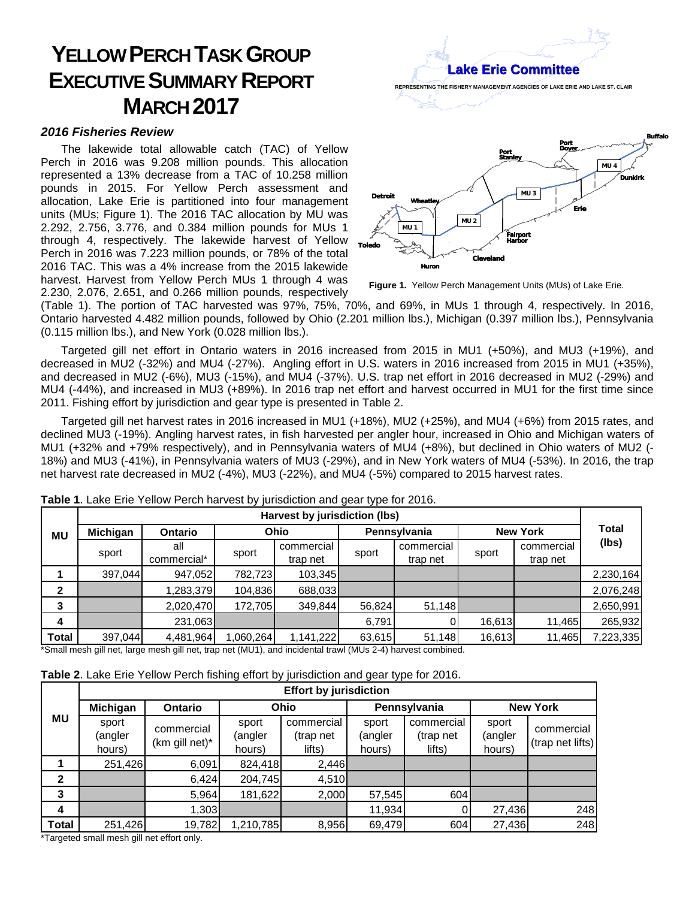## **YELLOW PERCH TASK GROUP EXECUTIVE SUMMARY REPORT MARCH 2017**

## *2016 Fisheries Review*

The lakewide total allowable catch (TAC) of Yellow Perch in 2016 was 9.208 million pounds. This allocation represented a 13% decrease from a TAC of 10.258 million pounds in 2015. For Yellow Perch assessment and allocation, Lake Erie is partitioned into four management units (MUs; Figure 1). The 2016 TAC allocation by MU was 2.292, 2.756, 3.776, and 0.384 million pounds for MUs 1 through 4, respectively. The lakewide harvest of Yellow Perch in 2016 was 7.223 million pounds, or 78% of the total 2016 TAC. This was a 4% increase from the 2015 lakewide harvest. Harvest from Yellow Perch MUs 1 through 4 was 2.230, 2.076, 2.651, and 0.266 million pounds, respectively



 **Figure 1.** Yellow Perch Management Units (MUs) of Lake Erie.

(Table 1). The portion of TAC harvested was 97%, 75%, 70%, and 69%, in MUs 1 through 4, respectively. In 2016, Ontario harvested 4.482 million pounds, followed by Ohio (2.201 million lbs.), Michigan (0.397 million lbs.), Pennsylvania (0.115 million lbs.), and New York (0.028 million lbs.).

Targeted gill net effort in Ontario waters in 2016 increased from 2015 in MU1 (+50%), and MU3 (+19%), and decreased in MU2 (-32%) and MU4 (-27%). Angling effort in U.S. waters in 2016 increased from 2015 in MU1 (+35%), and decreased in MU2 (-6%), MU3 (-15%), and MU4 (-37%). U.S. trap net effort in 2016 decreased in MU2 (-29%) and MU4 (-44%), and increased in MU3 (+89%). In 2016 trap net effort and harvest occurred in MU1 for the first time since 2011. Fishing effort by jurisdiction and gear type is presented in Table 2.

Targeted gill net harvest rates in 2016 increased in MU1 (+18%), MU2 (+25%), and MU4 (+6%) from 2015 rates, and declined MU3 (-19%). Angling harvest rates, in fish harvested per angler hour, increased in Ohio and Michigan waters of MU1 (+32% and +79% respectively), and in Pennsylvania waters of MU4 (+8%), but declined in Ohio waters of MU2 (- 18%) and MU3 (-41%), in Pennsylvania waters of MU3 (-29%), and in New York waters of MU4 (-53%). In 2016, the trap net harvest rate decreased in MU2 (-4%), MU3 (-22%), and MU4 (-5%) compared to 2015 harvest rates.

|              | Harvest by jurisdiction (lbs) |                    |          |                        |              |                        |                 |                        |              |
|--------------|-------------------------------|--------------------|----------|------------------------|--------------|------------------------|-----------------|------------------------|--------------|
| <b>MU</b>    | Michigan                      | <b>Ontario</b>     | Ohio     |                        | Pennsylvania |                        | <b>New York</b> |                        | <b>Total</b> |
|              | sport                         | all<br>commercial* | sport    | commercial<br>trap net | sport        | commercial<br>trap net | sport           | commercial<br>trap net | (lbs)        |
|              | 397,044                       | 947,052            | 782,723  | 103,345                |              |                        |                 |                        | 2,230,164    |
| $\mathbf{2}$ |                               | 1,283,379          | 104,836  | 688,033                |              |                        |                 |                        | 2,076,248    |
| 3            |                               | 2,020,470          | 172,705  | 349,844                | 56,824       | 51,148                 |                 |                        | 2,650,991    |
| 4            |                               | 231,063            |          |                        | 6,791        |                        | 16,613          | 11,465                 | 265,932      |
| <b>Total</b> | 397,044                       | 4,481,964          | ,060,264 | 1,141,222              | 63,615       | 51,148                 | 16,613          | 11,465                 | 7,223,335    |

**Table 1**. Lake Erie Yellow Perch harvest by jurisdiction and gear type for 2016.

\*Small mesh gill net, large mesh gill net, trap net (MU1), and incidental trawl (MUs 2-4) harvest combined.

| <b>MU</b>      | $\sim$<br><b>Effort by jurisdiction</b> |                                 |                            |                                   |                            |                                   |                            |                                |  |
|----------------|-----------------------------------------|---------------------------------|----------------------------|-----------------------------------|----------------------------|-----------------------------------|----------------------------|--------------------------------|--|
|                | Michigan                                | <b>Ontario</b>                  |                            | <b>Ohio</b>                       |                            | Pennsylvania                      | <b>New York</b>            |                                |  |
|                | sport<br>(angler<br>hours)              | commercial<br>$(km)$ gill net)* | sport<br>(angler<br>hours) | commercial<br>(trap net<br>lifts) | sport<br>(angler<br>hours) | commercial<br>(trap net<br>lifts) | sport<br>(angler<br>hours) | commercial<br>(trap net lifts) |  |
|                | 251,426                                 | 6,091                           | 824,418                    | 2,446                             |                            |                                   |                            |                                |  |
| $\overline{2}$ |                                         | 6,424                           | 204,745                    | 4,510                             |                            |                                   |                            |                                |  |
| 3              |                                         | 5,964                           | 181,622                    | 2,000                             | 57,545                     | 604                               |                            |                                |  |
| 4              |                                         | 1,303                           |                            |                                   | 11,934                     |                                   | 27,436                     | 248                            |  |
| <b>Total</b>   | 251,426                                 | 19,782                          | 1,210,785                  | 8,956                             | 69,479                     | 604                               | 27,436                     | 248                            |  |

\*Targeted small mesh gill net effort only.